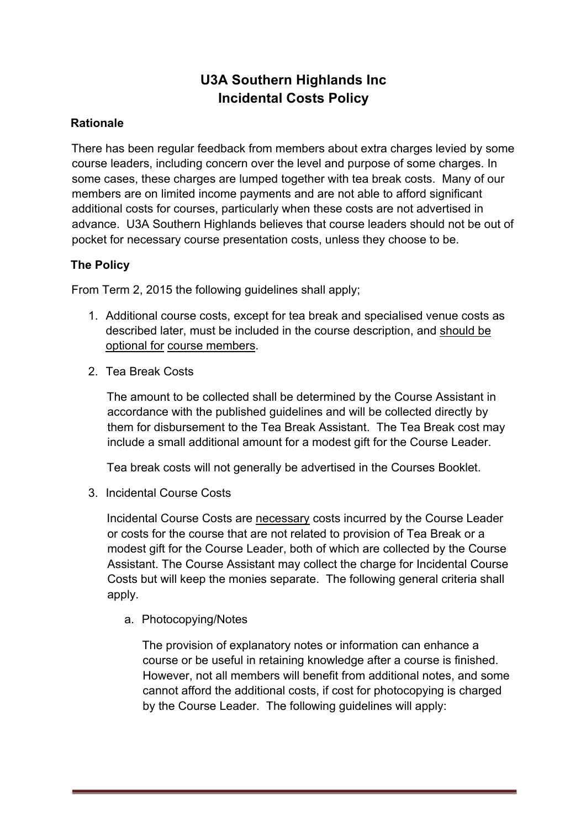## **U3A Southern Highlands Inc Incidental Costs Policy**

## **Rationale**

There has been regular feedback from members about extra charges levied by some course leaders, including concern over the level and purpose of some charges. In some cases, these charges are lumped together with tea break costs. Many of our members are on limited income payments and are not able to afford significant additional costs for courses, particularly when these costs are not advertised in advance. U3A Southern Highlands believes that course leaders should not be out of pocket for necessary course presentation costs, unless they choose to be.

## **The Policy**

From Term 2, 2015 the following guidelines shall apply;

- 1. Additional course costs, except for tea break and specialised venue costs as described later, must be included in the course description, and should be optional for course members.
- 2. Tea Break Costs

The amount to be collected shall be determined by the Course Assistant in accordance with the published guidelines and will be collected directly by them for disbursement to the Tea Break Assistant. The Tea Break cost may include a small additional amount for a modest gift for the Course Leader.

Tea break costs will not generally be advertised in the Courses Booklet.

3. Incidental Course Costs

Incidental Course Costs are necessary costs incurred by the Course Leader or costs for the course that are not related to provision of Tea Break or a modest gift for the Course Leader, both of which are collected by the Course Assistant. The Course Assistant may collect the charge for Incidental Course Costs but will keep the monies separate. The following general criteria shall apply.

a. Photocopying/Notes

The provision of explanatory notes or information can enhance a course or be useful in retaining knowledge after a course is finished. However, not all members will benefit from additional notes, and some cannot afford the additional costs, if cost for photocopying is charged by the Course Leader. The following guidelines will apply: